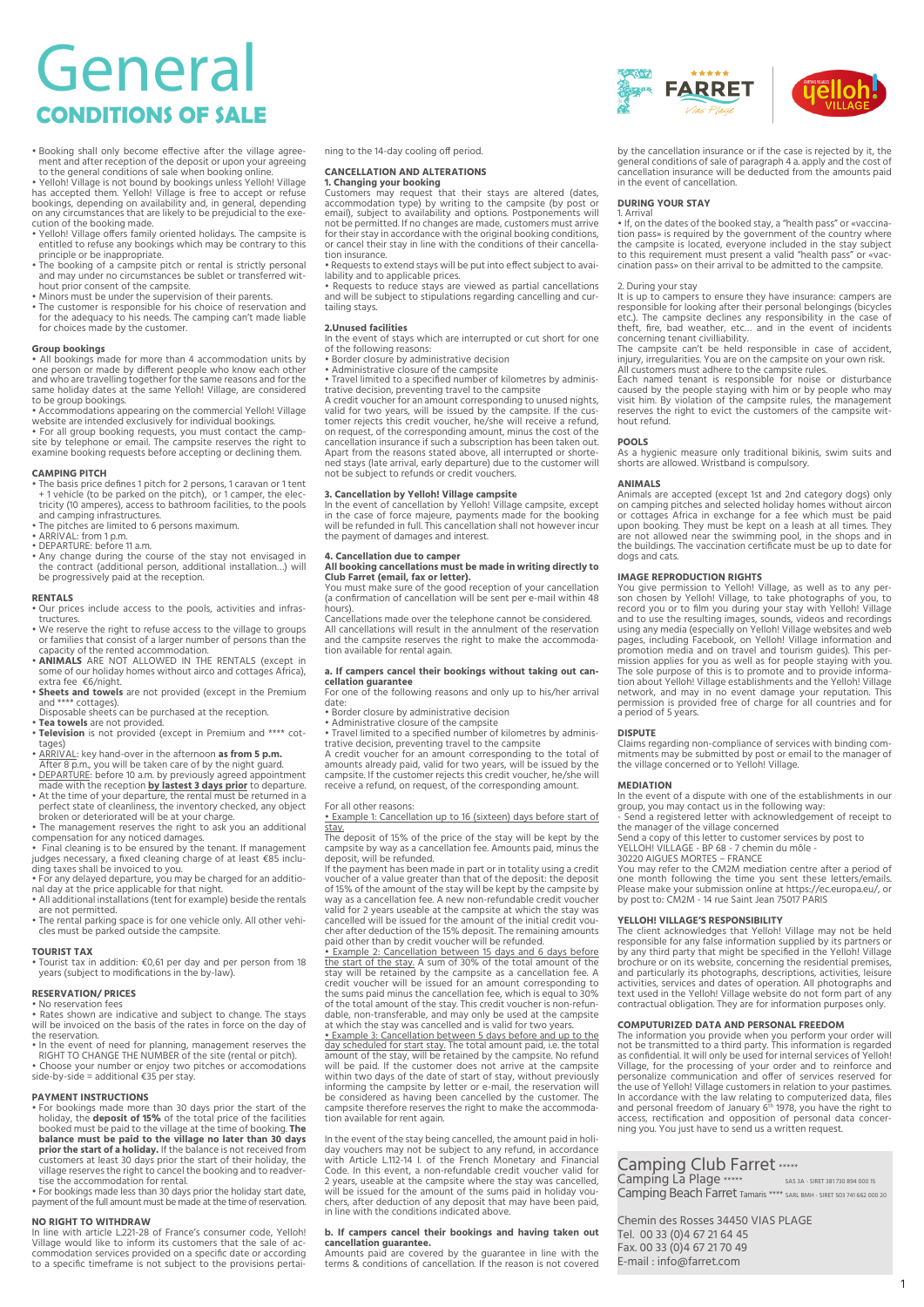# General **CONDITIONS OF SALE**

• Booking shall only become effective after the village agree-ment and after reception of the deposit or upon your agreeing

to the general conditions of sale when booking online.<br>• Yelloh! Village is not bound by bookings unless Yelloh! Village<br>has accepted them. Yelloh! Village is free to accept or refuse<br>bookings, depending on availability an cution of the booking made.

- Yelloh! Village offers family oriented holidays. The campsite is entitled to refuse any bookings which may be contrary to this
- principle or be inappropriate. The booking of a campsite pitch or rental is strictly personal and may under no circumstances be sublet or transferred wit-
- hout prior consent of the campsite. Minors must be under the supervision of their parents.
- The customer is responsible for his choice of reservation and for the adequacy to his needs. The camping can't made liable for choices made by the customer.

## **Group bookings**

• All bookings made for more than 4 accommodation units by<br>one person or made by different people who know each other<br>and who are travelling together for the same reasons and for the<br>same holiday dates at the same Yelloh!

to be group bookings. • Accommodations appearing on the commercial Yelloh! Village website are intended exclusively for individual bookings. • For all group booking requests, you must contact the camp-

site by telephone or email. The campsite reserves the right to examine booking requests before accepting or declining them.

- **CAMPING PITCH** The basis price defines 1 pitch for 2 persons, 1 caravan or 1 tent + 1 vehicle (to be parked on the pitch), or 1 camper, the elec-tricity (10 amperes), access to bathroom facilities, to the pools
- and camping infrastructures. The pitches are limited to 6 persons maximum. ARRIVAL: from 1 p.m. DEPARTURE: before 11 a.m.
- 
- Any change during the course of the stay not envisaged in the contract (additional person, additional installation…) will be progressively paid at the reception.

### **RENTALS**

- Our prices include access to the pools, activities and infras-tructures.
- We reserve the right to refuse access to the village to groups or families that consist of a larger number of persons than the capacity of the rented accommodation.
- **ANIMALS** ARE NOT ALLOWED IN THE RENTALS (except in some of our holiday homes without airco and cottages Africa),
- extra fee  $\epsilon$ 6/night.<br> **Sheets and towels** are not provided (except in the Premium<br>
and \*\*\*\* cottages).<br>
Disposable sheets can be purchased at the reception.<br> **Tea towels** are not provided.<br> **Teatively in Fig. 10.**
- 
- tages)
- ARRIVAL: key hand-over in the afternoon **as from 5 p.m.**
- After 8 p.m., you will be taken care of by the night guard.<br>• <u>DEPARTURE</u>: before 10 a.m. by previously agreed appointment<br>made with the reception **by lastest 3 days prior** to departure.<br>• At the time of your departure, t
- broken or deteriorated will be at your charge. The management reserves the right to ask you an additional
- 
- compensation for any noticed damages. Final cleaning is to be ensured by the tenant. If management judges necessary, a fixed cleaning charge of at least €85 inclu-ding taxes shall be invoiced to you.
- For any delayed departure, you may be charged for an additio-nal day at the price applicable for that night.
- All additional installations (tent for example) beside the rentals Air additional installation
- The rental parking space is for one vehicle only. All other vehicles must be parked outside the campsite.

**TOURIST TAX** • Tourist tax in addition: €0,61 per day and per person from 18 years (subject to modifications in the by-law).

## **RESERVATION/ PRICES**

- No reservation fees Rates shown are indicative and subject to change. The stays will be invoiced on the basis of the rates in force on the day of
- the reservation. In the event of need for planning, management reserves the RIGHT TO CHANGE THE NUMBER of the site (rental or pitch).
- Choose your number or enjoy two pitches or accomodations side-by-side = additional €35 per stay.

## **PAYMENT INSTRUCTIONS**

- For bookings made more than 30 days prior the start of the holiday, the **deposit of 15%** of the total price of the facilities booked must be paid to the village at the time of booking. **The**  balance must be paid to the village no later than 30 days<br>prior the start of a holiday. If the balance is not received from<br>customers at least 30 days prior the start of their holiday, the<br>village reserves the right to can
- For bookings made less than 30 days prior the holiday start date, payment of the full amount must be made at the time of reservation.

**NO RIGHT TO WITHDRAW**<br>In line with article L.221-28 of France's consumer code, Yelloh!<br>Village would like to inform its customers that the sale of accommodation services provided on a specific date or according to a specific timeframe is not subject to the provisions pertaining to the 14-day cooling off period.

**CANCELLATION AND ALTERATIONS**<br>**1. Changing your booking**<br>Customers may request that their stays are altered (dates,<br>accommodation type) by writing to the campsite (by post or<br>email), subject to availability and options. P not be permitted. If no changes are made, customers must arrive for their stay in accordance with the original booking conditions, or cancel their stay in line with the conditions of their cancellation insurance.

• Requests to extend stays will be put into effect subject to avai-

lability and to applicable prices. • Requests to reduce stays are viewed as partial cancellations and will be subject to stipulations regarding cancelling and curtailing stays.

### **2.Unused facilities**

- In the event of stays which are interrupted or cut short for one of the following reasons:
- 

• Border closure by administrative decision • Administrative closure of the campsite • Travel limited to a specified number of kilometres by adminis-

trative decision, preventing travel to the campsite<br>A credit voucher for an amount corresponding to unused nights,<br>valid for two years, will be issued by the campsite. If the cus-<br>tomer rejects this credit voucher, he/she cancellation insurance if such a subscription has been taken out. Apart from the reasons stated above, all interrupted or shorte-ned stays (late arrival, early departure) due to the customer will not be subject to refunds or credit vouchers.

**3. Cancellation by Yelloh! Village campsite**<br>In the event of cancellation by Yelloh! Village campsite, except<br>in the case of force majeure, payments made for the booking<br>will be refunded in full. This cancellation shall n

## **4. Cancellation due to camper All booking cancellations must be made in writing directly to**

**Club Farret (email, fax or letter).**  You must make sure of the good reception of your cancellation (a confirmation of cancellation will be sent per e-mail within 48 hours).

Cancellations made over the telephone cannot be considered. All cancellations will result in the annulment of the reservation and the campsite reserves the right to make the accommodation available for rental again.

## **a. If campers cancel their bookings without taking out can-**

**cellation guarantee** For one of the following reasons and only up to his/her arrival date:<br>• Border closure by administrative decision

• Border closure by administrative decision • Administrative closure of the campsite • Travel limited to a specified number of kilometres by adminis-

trative decision, preventing travel to the campsite<br>A credit voucher for an amount corresponding to the total of<br>amounts already paid, valid for two years, will be issued by the<br>campsite. If the customer rejects this credi receive a refund, on request, of the corresponding amount.

### For all other reasons:

• Example 1: Cancellation up to 16 (sixteen) days before start of stay. The deposit of 15% of the price of the stay will be kept by the

campsite by way as a cancellation fee. Amounts paid, minus the deposit, will be refunded.

If the payment has been made in part or in totality using a credit voucher of a value greater than that of the deposit: the deposit of 15% of the amount of the stay will be kept by the campsite by way as a cancellation fee. A new non-refundable credit voucher valid for 2 years useable at the campsite at which the stay was cancelled will be issued for the amount of the initial credit voucher after deduction of the 15% deposit. The remaining amounts paid other than by credit voucher will be refunded.

 $\bullet$  Example 2: Cancellation between 15 days and 6 days before<br>the start of the stay. A sum of 30% of the total amount of the<br>stay will be retained by the campsite as a cancellation fee. A<br>credit voucher will be issued fo of the total amount of the stay. This credit voucher is non-refun-dable, non-transferable, and may only be used at the campsite at which the stay was cancelled and is valid for two years.

• Example 3: Cancellation between 5 days before and up to the day scheduled for start stay. The total amount paid, i.e. the total mount paid, in amount of the stay, will be retained by the campsite. No refund will be paid. campsite therefore reserves the right to make the accommodation available for rent again.

In the event of the stay being cancelled, the amount paid in holiday vouchers may not be subject to any refund, in accordance with Article Li12-14 I. of the French Monetary and Financial Code. In this event, a non-refundab will be issued for the amount of the sums paid in holiday vou-chers, after deduction of any deposit that may have been paid, in line with the conditions indicated above.

## **b. If campers cancel their bookings and having taken out**

**cancellation guarantee.** Amounts paid are covered by the guarantee in line with the terms & conditions of cancellation. If the reason is not covered



by the cancellation insurance or if the case is rejected by it, the general conditions of sale of paragraph 4 a. apply and the cost of cancellation insurance will be deducted from the amounts paid in the event of cancellation.

**DURING YOUR STAY**  1. Arrival • If, on the dates of the booked stay, a "health pass" or «vaccination pass» is required by the government of the country where<br>the campsite is located, everyone included in the stay subject<br>to this requirement must present a valid "health pass" or «vac-<br>cination pass» on their arrival t

2. During your stay<br>It is up to campers to ensure they have insurance: campers are

It is up to campers to ensure they have insurance: campers are<br>responsible for looking after their personal belongings (bicycles<br>etc.). The campsite declines any responsibility in the case of<br>theft, fire, bad weather, etc.

#### **POOLS**

As a hygienic measure only traditional bikinis, swim suits and shorts are allowed. Wristband is compulsory.

#### **ANIMALS**

Animals are accepted (except 1st and 2nd category dogs) only on camping pitches and selected holiday homes without aircon or cottages Africa in exchange for a fee which must be paid<br>upon booking. They must be kept on a leash at all times. They<br>are not allowed near the swimming pool, in the shops and in<br>the buildings. The vaccination certifica dogs and cats.

**IMAGE REPRODUCTION RIGHTS**<br>You give permission to Yelloh! Village, as well as to any per-<br>You give permission to Yelloh! Village, to take photographs of you, to<br>record you or to film you during your stay with Yelloh! Vill tion about Yelloh! Village establishments and the Yelloh! Village network, and may in no event damage your reputation. This permission is provided free of charge for all countries and for a period of 5 years.

#### **DISPUTE**

Claims regarding non-compliance of services with binding com-mitments may be submitted by post or email to the manager of the village concerned or to Yelloh! Village.

#### **MEDIATION**

In the event of a dispute with one of the establishments in our group, you may contact us in the following way:

- Send a registered letter with acknowledgement of receipt to<br>the manager of the village concerned<br>Send a copy of this letter to customer services by post to<br>YELLOH! VILLAGE - BP 68 - 7 chemin du môle -<br>30220 AIGUES MORTES

one month following the time you sent these letters/emails. Please make your submission online at https://ec.europa.eu/, or by post to: CM2M - 14 rue Saint Jean 75017 PARIS

**YELLOH! VILLAGE'S RESPONSIBILITY**<br>The client acknowledges that Yelloh! Village may not be held<br>responsible for any false information supplied by its partners or<br>by any third party that might be specified in the Yelloh! Vi and particularly its photographs, descriptions, activities, leisure activities, services and dates of operation. All photographs and text used in the Yelloh! Village website do not form part of any contractual obligation. They are for information purposes only.

**COMPUTURIZED DATA AND PERSONAL FREEDOM**<br>The information you provide when you perform your order will<br>not be transmitted to a third party. This information is regarded<br>as confidential. It will only be used for internal ser the use of Yelloh! Village customers in relation to your pastimes.<br>In accordance with the law relating to computerized data, files<br>and personal freedom of January 6<sup>th</sup> 1978, you have the right to<br>access, rectification and

Camping Beach Farret Tamaris **\*\*\*\*** SARL BMH - SIRET 503 741 662 000 20

1

# Camping Club Farret \*\*\*\*\*<br>Camping La Plage \*\*\*\*\* SAS 3A - SIRET 381 730 894 000 15

Chemin des Rosses 34450 VIAS PLAGE

Tel. 00 33 (0)4 67 21 64 45 Fax. 00 33 (0)4 67 21 70 49 E-mail : info@farret.com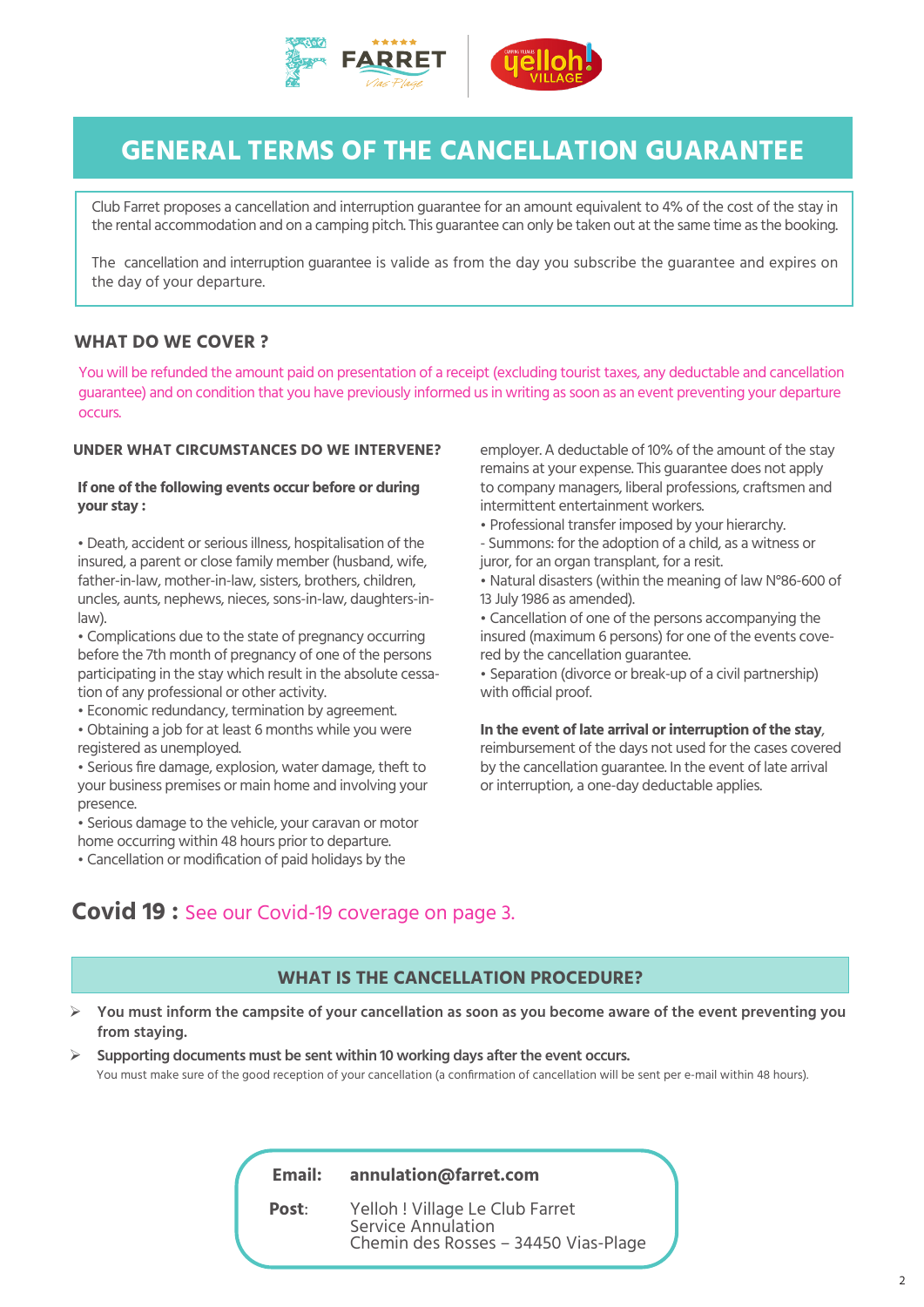



# **GENERAL TERMS OF THE CANCELLATION GUARANTEE**

Club Farret proposes a cancellation and interruption guarantee for an amount equivalent to 4% of the cost of the stay in the rental accommodation and on a camping pitch. This guarantee can only be taken out at the same time as the booking.

The cancellation and interruption guarantee is valide as from the day you subscribe the guarantee and expires on the day of your departure.

## **WHAT DO WE COVER ?**

You will be refunded the amount paid on presentation of a receipt (excluding tourist taxes, any deductable and cancellation guarantee) and on condition that you have previously informed us in writing as soon as an event preventing your departure occurs.

## **UNDER WHAT CIRCUMSTANCES DO WE INTERVENE?**

## **If one of the following events occur before or during your stay :**

• Death, accident or serious illness, hospitalisation of the insured, a parent or close family member (husband, wife, father-in-law, mother-in-law, sisters, brothers, children, uncles, aunts, nephews, nieces, sons-in-law, daughters-inlaw).

• Complications due to the state of pregnancy occurring before the 7th month of pregnancy of one of the persons participating in the stay which result in the absolute cessation of any professional or other activity.

• Economic redundancy, termination by agreement.

• Obtaining a job for at least 6 months while you were registered as unemployed.

• Serious fire damage, explosion, water damage, theft to your business premises or main home and involving your presence.

• Serious damage to the vehicle, your caravan or motor home occurring within 48 hours prior to departure.

• Cancellation or modification of paid holidays by the

employer. A deductable of 10% of the amount of the stay remains at your expense. This guarantee does not apply to company managers, liberal professions, craftsmen and intermittent entertainment workers.

• Professional transfer imposed by your hierarchy.

- Summons: for the adoption of a child, as a witness or juror, for an organ transplant, for a resit.

• Natural disasters (within the meaning of law N°86-600 of 13 July 1986 as amended).

• Cancellation of one of the persons accompanying the insured (maximum 6 persons) for one of the events covered by the cancellation guarantee.

• Separation (divorce or break-up of a civil partnership) with official proof.

## **In the event of late arrival or interruption of the stay**,

reimbursement of the days not used for the cases covered by the cancellation guarantee. In the event of late arrival or interruption, a one-day deductable applies.

## **Covid 19 :** See our Covid-19 coverage on page 3.

## **WHAT IS THE CANCELLATION PROCEDURE?**

- ¾ **You must inform the campsite of your cancellation as soon as you become aware of the event preventing you from staying.**
- ¾ **Supporting documents must be sent within 10 working days after the event occurs.** You must make sure of the good reception of your cancellation (a confirmation of cancellation will be sent per e-mail within 48 hours).